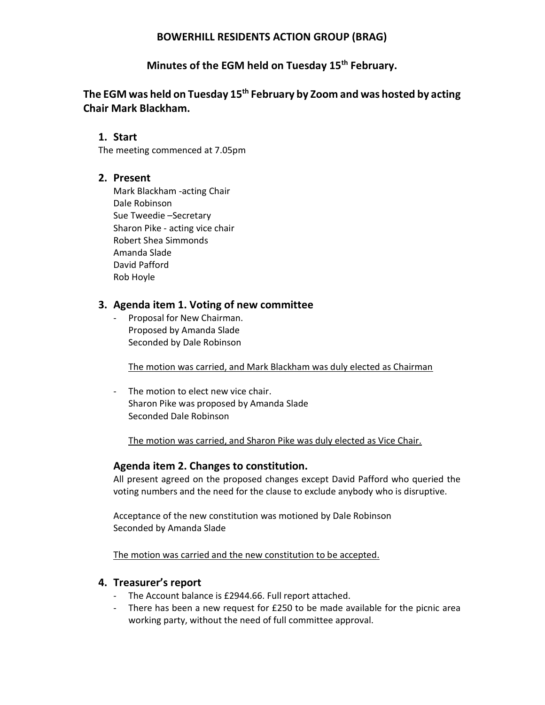### BOWERHILL RESIDENTS ACTION GROUP (BRAG)

## Minutes of the EGM held on Tuesday 15<sup>th</sup> February.

# The EGM was held on Tuesday 15<sup>th</sup> February by Zoom and was hosted by acting Chair Mark Blackham.

### 1. Start

The meeting commenced at 7.05pm

### 2. Present

Mark Blackham -acting Chair Dale Robinson Sue Tweedie –Secretary Sharon Pike - acting vice chair Robert Shea Simmonds Amanda Slade David Pafford Rob Hoyle

#### 3. Agenda item 1. Voting of new committee

Proposal for New Chairman. Proposed by Amanda Slade Seconded by Dale Robinson

The motion was carried, and Mark Blackham was duly elected as Chairman

- The motion to elect new vice chair. Sharon Pike was proposed by Amanda Slade Seconded Dale Robinson

The motion was carried, and Sharon Pike was duly elected as Vice Chair.

#### Agenda item 2. Changes to constitution.

All present agreed on the proposed changes except David Pafford who queried the voting numbers and the need for the clause to exclude anybody who is disruptive.

Acceptance of the new constitution was motioned by Dale Robinson Seconded by Amanda Slade

The motion was carried and the new constitution to be accepted.

#### 4. Treasurer's report

- The Account balance is £2944.66. Full report attached.
- There has been a new request for £250 to be made available for the picnic area working party, without the need of full committee approval.